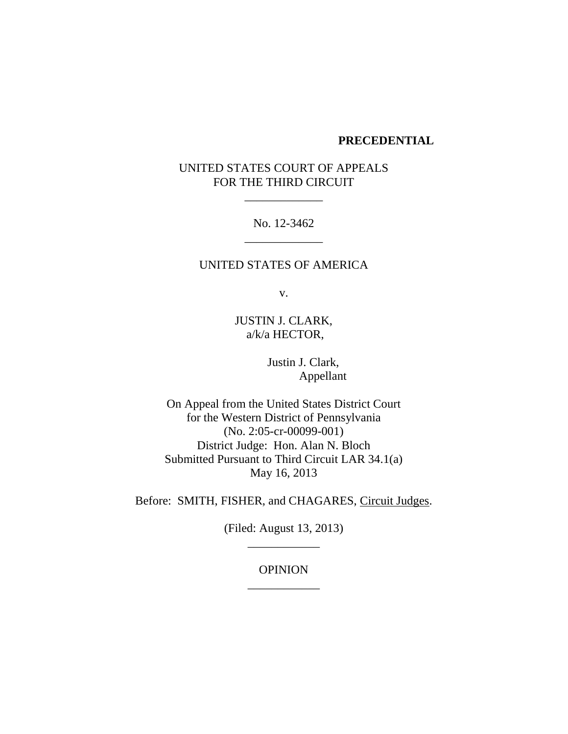#### **PRECEDENTIAL**

# UNITED STATES COURT OF APPEALS FOR THE THIRD CIRCUIT

No. 12-3462 \_\_\_\_\_\_\_\_\_\_\_\_\_

### UNITED STATES OF AMERICA

v.

JUSTIN J. CLARK, a/k/a HECTOR,

> Justin J. Clark, Appellant

On Appeal from the United States District Court for the Western District of Pennsylvania (No. 2:05-cr-00099-001) District Judge: Hon. Alan N. Bloch Submitted Pursuant to Third Circuit LAR 34.1(a) May 16, 2013

Before: SMITH, FISHER, and CHAGARES, Circuit Judges.

(Filed: August 13, 2013) \_\_\_\_\_\_\_\_\_\_\_\_

## OPINION \_\_\_\_\_\_\_\_\_\_\_\_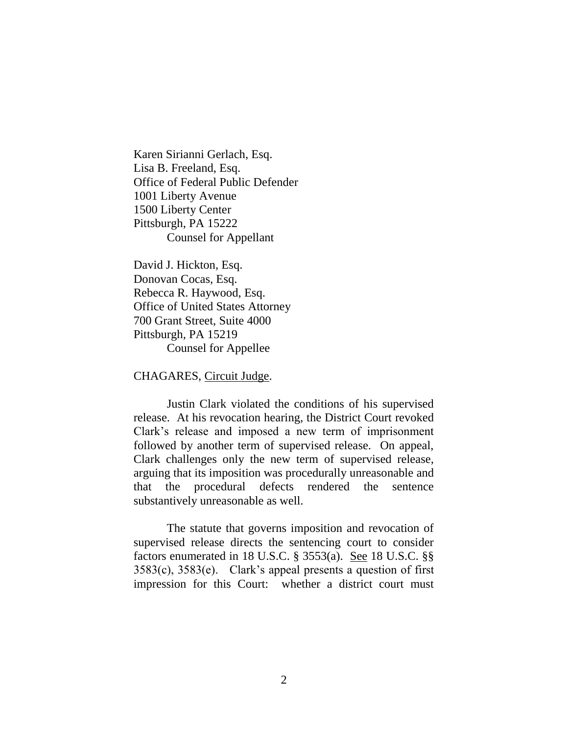Karen Sirianni Gerlach, Esq. Lisa B. Freeland, Esq. Office of Federal Public Defender 1001 Liberty Avenue 1500 Liberty Center Pittsburgh, PA 15222 Counsel for Appellant

David J. Hickton, Esq. Donovan Cocas, Esq. Rebecca R. Haywood, Esq. Office of United States Attorney 700 Grant Street, Suite 4000 Pittsburgh, PA 15219 Counsel for Appellee

CHAGARES, Circuit Judge.

Justin Clark violated the conditions of his supervised release. At his revocation hearing, the District Court revoked Clark's release and imposed a new term of imprisonment followed by another term of supervised release. On appeal, Clark challenges only the new term of supervised release, arguing that its imposition was procedurally unreasonable and that the procedural defects rendered the sentence substantively unreasonable as well.

The statute that governs imposition and revocation of supervised release directs the sentencing court to consider factors enumerated in 18 U.S.C. § 3553(a). See 18 U.S.C. §§ 3583(c), 3583(e). Clark's appeal presents a question of first impression for this Court: whether a district court must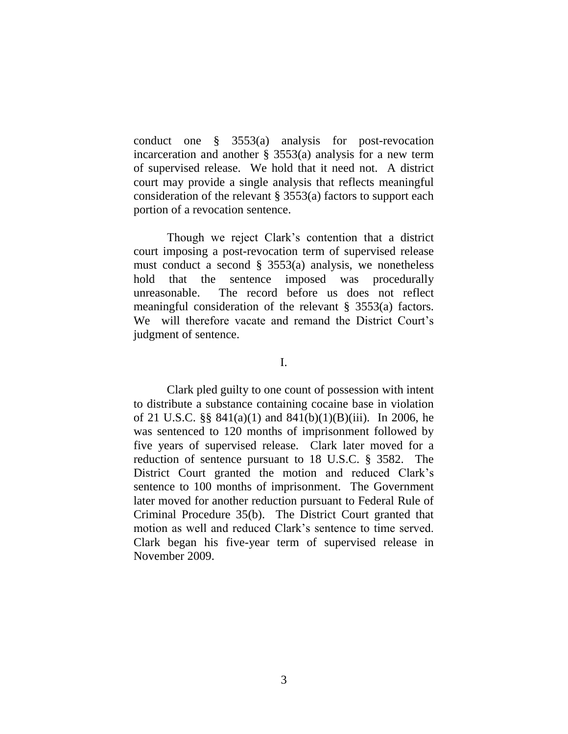conduct one § 3553(a) analysis for post-revocation incarceration and another  $\S$  3553(a) analysis for a new term of supervised release. We hold that it need not. A district court may provide a single analysis that reflects meaningful consideration of the relevant § 3553(a) factors to support each portion of a revocation sentence.

Though we reject Clark's contention that a district court imposing a post-revocation term of supervised release must conduct a second  $\S$  3553(a) analysis, we nonetheless hold that the sentence imposed was procedurally unreasonable. The record before us does not reflect meaningful consideration of the relevant § 3553(a) factors. We will therefore vacate and remand the District Court's judgment of sentence.

I.

Clark pled guilty to one count of possession with intent to distribute a substance containing cocaine base in violation of 21 U.S.C. §§ 841(a)(1) and 841(b)(1)(B)(iii). In 2006, he was sentenced to 120 months of imprisonment followed by five years of supervised release. Clark later moved for a reduction of sentence pursuant to 18 U.S.C. § 3582. The District Court granted the motion and reduced Clark's sentence to 100 months of imprisonment. The Government later moved for another reduction pursuant to Federal Rule of Criminal Procedure 35(b). The District Court granted that motion as well and reduced Clark's sentence to time served. Clark began his five-year term of supervised release in November 2009.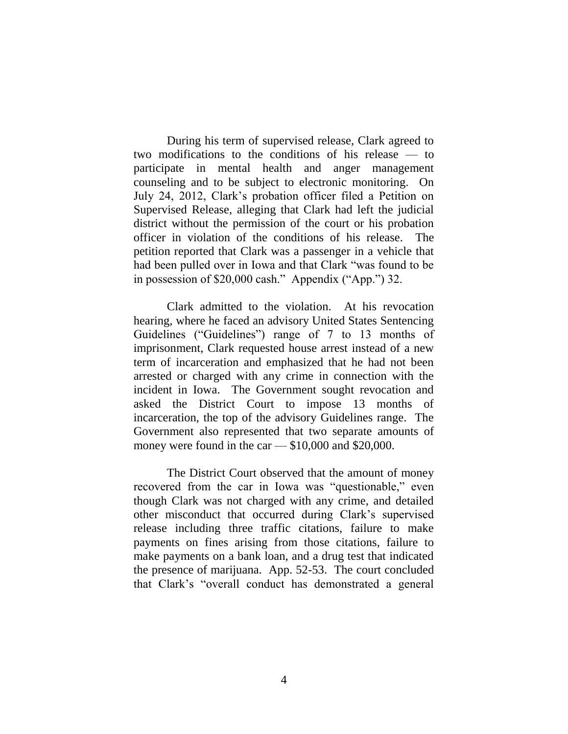During his term of supervised release, Clark agreed to two modifications to the conditions of his release — to participate in mental health and anger management counseling and to be subject to electronic monitoring. On July 24, 2012, Clark's probation officer filed a Petition on Supervised Release, alleging that Clark had left the judicial district without the permission of the court or his probation officer in violation of the conditions of his release. The petition reported that Clark was a passenger in a vehicle that had been pulled over in Iowa and that Clark "was found to be in possession of \$20,000 cash." Appendix ("App.") 32.

Clark admitted to the violation. At his revocation hearing, where he faced an advisory United States Sentencing Guidelines ("Guidelines") range of 7 to 13 months of imprisonment, Clark requested house arrest instead of a new term of incarceration and emphasized that he had not been arrested or charged with any crime in connection with the incident in Iowa. The Government sought revocation and asked the District Court to impose 13 months of incarceration, the top of the advisory Guidelines range. The Government also represented that two separate amounts of money were found in the car — \$10,000 and \$20,000.

The District Court observed that the amount of money recovered from the car in Iowa was "questionable," even though Clark was not charged with any crime, and detailed other misconduct that occurred during Clark's supervised release including three traffic citations, failure to make payments on fines arising from those citations, failure to make payments on a bank loan, and a drug test that indicated the presence of marijuana. App. 52-53. The court concluded that Clark's "overall conduct has demonstrated a general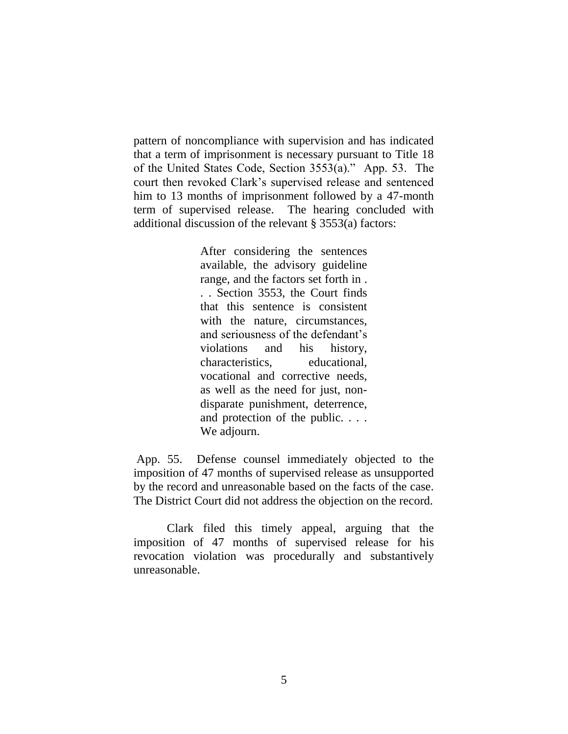pattern of noncompliance with supervision and has indicated that a term of imprisonment is necessary pursuant to Title 18 of the United States Code, Section 3553(a)." App. 53. The court then revoked Clark's supervised release and sentenced him to 13 months of imprisonment followed by a 47-month term of supervised release. The hearing concluded with additional discussion of the relevant § 3553(a) factors:

> After considering the sentences available, the advisory guideline range, and the factors set forth in . . . Section 3553, the Court finds that this sentence is consistent with the nature, circumstances, and seriousness of the defendant's violations and his history, characteristics, educational, vocational and corrective needs, as well as the need for just, nondisparate punishment, deterrence, and protection of the public. . . . We adjourn.

App. 55. Defense counsel immediately objected to the imposition of 47 months of supervised release as unsupported by the record and unreasonable based on the facts of the case. The District Court did not address the objection on the record.

Clark filed this timely appeal, arguing that the imposition of 47 months of supervised release for his revocation violation was procedurally and substantively unreasonable.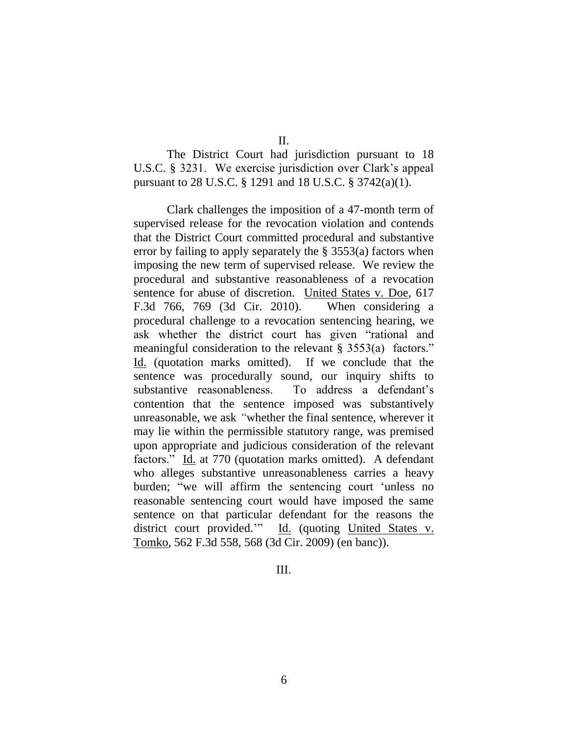II.

The District Court had jurisdiction pursuant to 18 U.S.C. § 3231. We exercise jurisdiction over Clark's appeal pursuant to 28 U.S.C. § 1291 and 18 U.S.C. § 3742(a)(1).

Clark challenges the imposition of a 47-month term of supervised release for the revocation violation and contends that the District Court committed procedural and substantive error by failing to apply separately the § 3553(a) factors when imposing the new term of supervised release. We review the procedural and substantive reasonableness of a revocation sentence for abuse of discretion. United States v. Doe, 617 F.3d 766, 769 (3d Cir. 2010). When considering a procedural challenge to a revocation sentencing hearing, we ask whether the district court has given "rational and meaningful consideration to the relevant § 3553(a) factors." Id. (quotation marks omitted). If we conclude that the sentence was procedurally sound, our inquiry shifts to substantive reasonableness. To address a defendant's contention that the sentence imposed was substantively unreasonable, we ask *"*whether the final sentence, wherever it may lie within the permissible statutory range, was premised upon appropriate and judicious consideration of the relevant factors." Id. at 770 (quotation marks omitted). A defendant who alleges substantive unreasonableness carries a heavy burden; "we will affirm the sentencing court 'unless no reasonable sentencing court would have imposed the same sentence on that particular defendant for the reasons the district court provided." Id. (quoting United States v. Tomko, 562 F.3d 558, 568 (3d Cir. 2009) (en banc)).

III.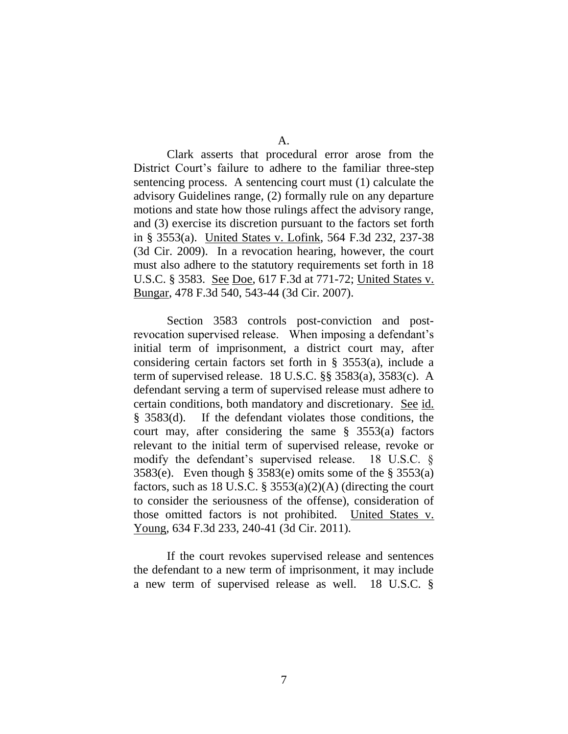Clark asserts that procedural error arose from the District Court's failure to adhere to the familiar three-step sentencing process. A sentencing court must (1) calculate the advisory Guidelines range, (2) formally rule on any departure motions and state how those rulings affect the advisory range, and (3) exercise its discretion pursuant to the factors set forth in § 3553(a). United States v. Lofink, 564 F.3d 232, 237-38 (3d Cir. 2009). In a revocation hearing, however, the court must also adhere to the statutory requirements set forth in 18 U.S.C. § 3583. See Doe, 617 F.3d at 771-72; United States v. Bungar, 478 F.3d 540, 543-44 (3d Cir. 2007).

Section 3583 controls post-conviction and postrevocation supervised release. When imposing a defendant's initial term of imprisonment, a district court may, after considering certain factors set forth in § 3553(a), include a term of supervised release. 18 U.S.C. §§ 3583(a), 3583(c). A defendant serving a term of supervised release must adhere to certain conditions, both mandatory and discretionary. See id. § 3583(d). If the defendant violates those conditions, the court may, after considering the same § 3553(a) factors relevant to the initial term of supervised release, revoke or modify the defendant's supervised release. 18 U.S.C. § 3583(e). Even though § 3583(e) omits some of the § 3553(a) factors, such as 18 U.S.C. §  $3553(a)(2)(A)$  (directing the court to consider the seriousness of the offense), consideration of those omitted factors is not prohibited. United States v. Young, 634 F.3d 233, 240-41 (3d Cir. 2011).

If the court revokes supervised release and sentences the defendant to a new term of imprisonment, it may include a new term of supervised release as well. 18 U.S.C. §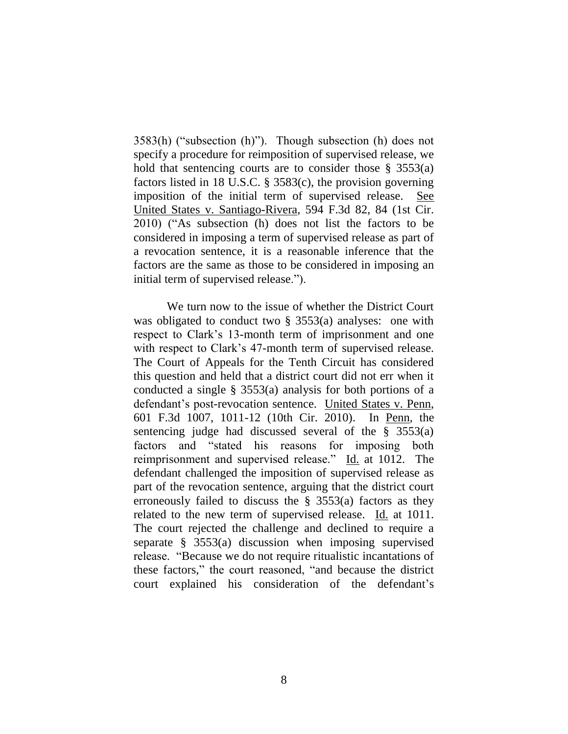3583(h) ("subsection (h)"). Though subsection (h) does not specify a procedure for reimposition of supervised release, we hold that sentencing courts are to consider those  $\S$  3553(a) factors listed in 18 U.S.C. § 3583(c), the provision governing imposition of the initial term of supervised release. See United States v. Santiago-Rivera, 594 F.3d 82, 84 (1st Cir. 2010) ("As subsection (h) does not list the factors to be considered in imposing a term of supervised release as part of a revocation sentence, it is a reasonable inference that the factors are the same as those to be considered in imposing an initial term of supervised release.").

We turn now to the issue of whether the District Court was obligated to conduct two  $\S$  3553(a) analyses: one with respect to Clark's 13-month term of imprisonment and one with respect to Clark's 47-month term of supervised release. The Court of Appeals for the Tenth Circuit has considered this question and held that a district court did not err when it conducted a single § 3553(a) analysis for both portions of a defendant's post-revocation sentence. United States v. Penn, 601 F.3d 1007, 1011-12 (10th Cir. 2010). In Penn, the sentencing judge had discussed several of the § 3553(a) factors and "stated his reasons for imposing both reimprisonment and supervised release." Id. at 1012. The defendant challenged the imposition of supervised release as part of the revocation sentence, arguing that the district court erroneously failed to discuss the § 3553(a) factors as they related to the new term of supervised release. Id. at 1011. The court rejected the challenge and declined to require a separate § 3553(a) discussion when imposing supervised release. "Because we do not require ritualistic incantations of these factors," the court reasoned, "and because the district court explained his consideration of the defendant's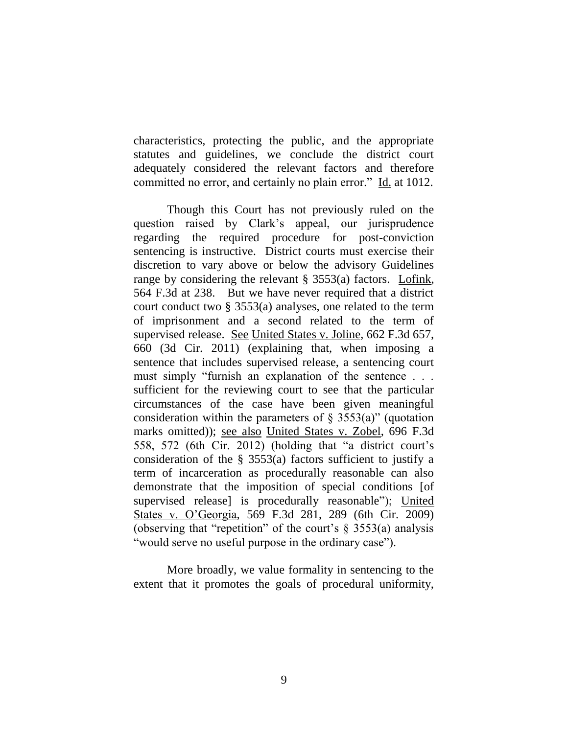characteristics, protecting the public, and the appropriate statutes and guidelines, we conclude the district court adequately considered the relevant factors and therefore committed no error, and certainly no plain error." Id. at 1012.

Though this Court has not previously ruled on the question raised by Clark's appeal, our jurisprudence regarding the required procedure for post-conviction sentencing is instructive. District courts must exercise their discretion to vary above or below the advisory Guidelines range by considering the relevant § 3553(a) factors. Lofink, 564 F.3d at 238. But we have never required that a district court conduct two § 3553(a) analyses, one related to the term of imprisonment and a second related to the term of supervised release. See United States v. Joline, 662 F.3d 657, 660 (3d Cir. 2011) (explaining that, when imposing a sentence that includes supervised release, a sentencing court must simply "furnish an explanation of the sentence . . . sufficient for the reviewing court to see that the particular circumstances of the case have been given meaningful consideration within the parameters of  $\S$  3553(a)" (quotation marks omitted)); see also United States v. Zobel, 696 F.3d 558, 572 (6th Cir. 2012) (holding that "a district court's consideration of the § 3553(a) factors sufficient to justify a term of incarceration as procedurally reasonable can also demonstrate that the imposition of special conditions [of supervised release] is procedurally reasonable"); United States v. O'Georgia, 569 F.3d 281, 289 (6th Cir. 2009) (observing that "repetition" of the court's  $\S$  3553(a) analysis "would serve no useful purpose in the ordinary case").

More broadly, we value formality in sentencing to the extent that it promotes the goals of procedural uniformity,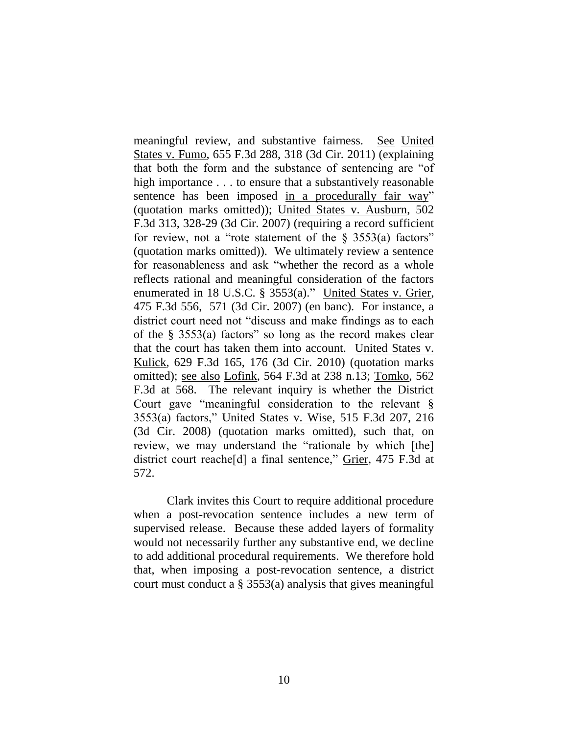meaningful review, and substantive fairness. See United States v. Fumo, 655 F.3d 288, 318 (3d Cir. 2011) (explaining that both the form and the substance of sentencing are "of high importance . . . to ensure that a substantively reasonable sentence has been imposed in a procedurally fair way" (quotation marks omitted)); United States v. Ausburn, 502 F.3d 313, 328-29 (3d Cir. 2007) (requiring a record sufficient for review, not a "rote statement of the  $\S$  3553(a) factors" (quotation marks omitted)). We ultimately review a sentence for reasonableness and ask "whether the record as a whole reflects rational and meaningful consideration of the factors enumerated in 18 U.S.C. § 3553(a)." United States v. Grier, 475 F.3d 556, 571 (3d Cir. 2007) (en banc). For instance, a district court need not "discuss and make findings as to each of the § 3553(a) factors" so long as the record makes clear that the court has taken them into account. United States v. Kulick, 629 F.3d 165, 176 (3d Cir. 2010) (quotation marks omitted); see also Lofink, 564 F.3d at 238 n.13; Tomko, 562 F.3d at 568. The relevant inquiry is whether the District Court gave "meaningful consideration to the relevant § 3553(a) factors," United States v. Wise, 515 F.3d 207, 216 (3d Cir. 2008) (quotation marks omitted), such that, on review, we may understand the "rationale by which [the] district court reache[d] a final sentence," Grier, 475 F.3d at 572.

Clark invites this Court to require additional procedure when a post-revocation sentence includes a new term of supervised release. Because these added layers of formality would not necessarily further any substantive end, we decline to add additional procedural requirements. We therefore hold that, when imposing a post-revocation sentence, a district court must conduct a § 3553(a) analysis that gives meaningful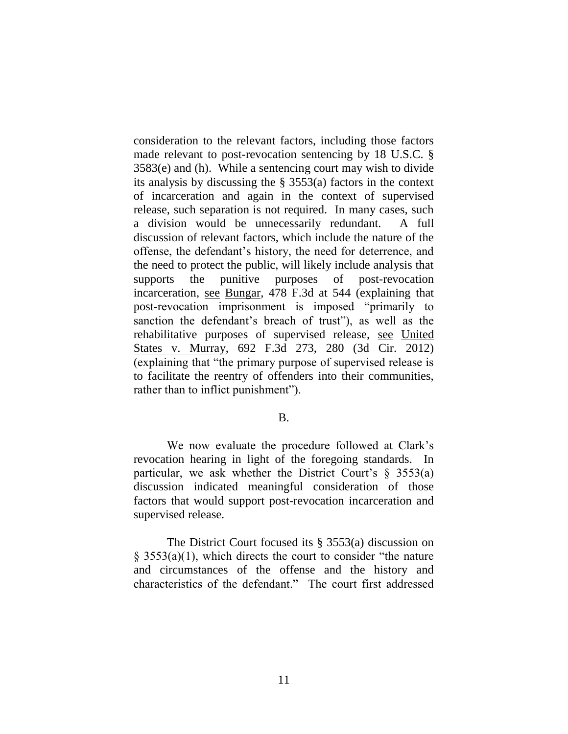consideration to the relevant factors, including those factors made relevant to post-revocation sentencing by 18 U.S.C. § 3583(e) and (h). While a sentencing court may wish to divide its analysis by discussing the § 3553(a) factors in the context of incarceration and again in the context of supervised release, such separation is not required. In many cases, such a division would be unnecessarily redundant. A full discussion of relevant factors, which include the nature of the offense, the defendant's history, the need for deterrence, and the need to protect the public, will likely include analysis that supports the punitive purposes of post-revocation incarceration, see Bungar, 478 F.3d at 544 (explaining that post-revocation imprisonment is imposed "primarily to sanction the defendant's breach of trust"), as well as the rehabilitative purposes of supervised release, see United States v. Murray, 692 F.3d 273, 280 (3d Cir. 2012) (explaining that "the primary purpose of supervised release is to facilitate the reentry of offenders into their communities, rather than to inflict punishment").

### B.

We now evaluate the procedure followed at Clark's revocation hearing in light of the foregoing standards. In particular, we ask whether the District Court's  $\S$  3553(a) discussion indicated meaningful consideration of those factors that would support post-revocation incarceration and supervised release.

The District Court focused its § 3553(a) discussion on  $\S$  3553(a)(1), which directs the court to consider "the nature" and circumstances of the offense and the history and characteristics of the defendant." The court first addressed